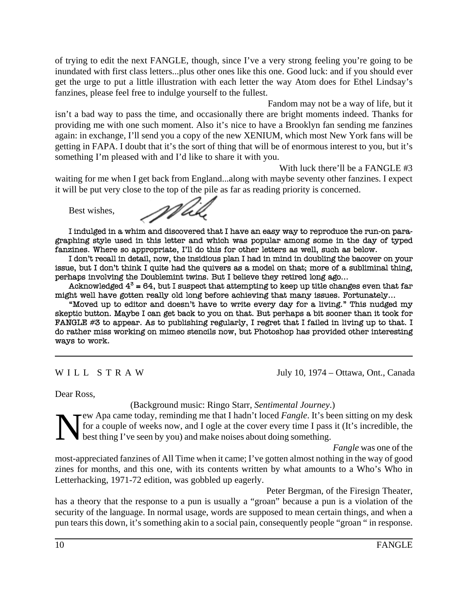of trying to edit the next FANGLE, though, since I've a very strong feeling you're going to be inundated with first class letters...plus other ones like this one. Good luck: and if you should ever get the urge to put a little illustration with each letter the way Atom does for Ethel Lindsay's fanzines, please feel free to indulge yourself to the fullest.

Fandom may not be a way of life, but it isn't a bad way to pass the time, and occasionally there are bright moments indeed. Thanks for providing me with one such moment. Also it's nice to have a Brooklyn fan sending me fanzines again: in exchange, I'll send you a copy of the new XENIUM, which most New York fans will be getting in FAPA. I doubt that it's the sort of thing that will be of enormous interest to you, but it's something I'm pleased with and I'd like to share it with you.

With luck there'll be a FANGLE #3

waiting for me when I get back from England...along with maybe seventy other fanzines. I expect it will be put very close to the top of the pile as far as reading priority is concerned.

Best wishes,

Will

I indulged in a whim and discovered that I have an easy way to reproduce the run-on paragraphing style used in this letter and which was popular among some in the day of typed fanzines. Where so appropriate, I'll do this for other letters as well, such as below.

I don't recall in detail, now, the insidious plan I had in mind in doubling the bacover on your issue, but I don't think I quite had the quivers as a model on that; more of a subliminal thing, perhaps involving the Doublemint twins. But I believe they retired long ago...

Acknowledged  $4^3$  = 64, but I suspect that attempting to keep up title changes even that far might well have gotten really old long before achieving that many issues. Fortunately...

"Moved up to editor and doesn't have to write every day for a living." This nudged my skeptic button. Maybe I can get back to you on that. But perhaps a bit sooner than it took for FANGLE #3 to appear. As to publishing regularly, I regret that I failed in living up to that. I do rather miss working on mimeo stencils now, but Photoshop has provided other interesting ways to work.

W I L L S T R A W July 10, 1974 – Ottawa, Ont., Canada

Dear Ross,

(Background music: Ringo Starr, *Sentimental Journey*.)

New Apa came today, reminding me that I hadn't loced *Fangle*. It's been sitting on my desk for a couple of weeks now, and I ogle at the cover every time I pass it (It's incredible, the best thing I've seen by you) and mak for a couple of weeks now, and I ogle at the cover every time I pass it (It's incredible, the best thing I've seen by you) and make noises about doing something.

*Fangle* was one of the most-appreciated fanzines of All Time when it came; I've gotten almost nothing in the way of good zines for months, and this one, with its contents written by what amounts to a Who's Who in Letterhacking, 1971-72 edition, was gobbled up eagerly.

Peter Bergman, of the Firesign Theater, has a theory that the response to a pun is usually a "groan" because a pun is a violation of the security of the language. In normal usage, words are supposed to mean certain things, and when a pun tears this down, it's something akin to a social pain, consequently people "groan " in response.